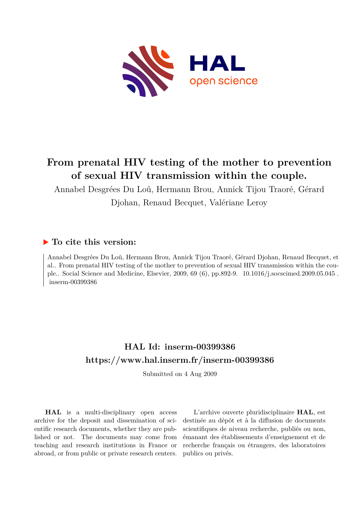

# **From prenatal HIV testing of the mother to prevention of sexual HIV transmission within the couple.**

Annabel Desgrées Du Loû, Hermann Brou, Annick Tijou Traoré, Gérard Djohan, Renaud Becquet, Valériane Leroy

## **To cite this version:**

Annabel Desgrées Du Loû, Hermann Brou, Annick Tijou Traoré, Gérard Djohan, Renaud Becquet, et al.. From prenatal HIV testing of the mother to prevention of sexual HIV transmission within the couple.. Social Science and Medicine, Elsevier, 2009, 69 (6), pp.892-9.  $10.1016/j$ .socscimed.2009.05.045. inserm-00399386

## **HAL Id: inserm-00399386 <https://www.hal.inserm.fr/inserm-00399386>**

Submitted on 4 Aug 2009

**HAL** is a multi-disciplinary open access archive for the deposit and dissemination of scientific research documents, whether they are published or not. The documents may come from teaching and research institutions in France or abroad, or from public or private research centers.

L'archive ouverte pluridisciplinaire **HAL**, est destinée au dépôt et à la diffusion de documents scientifiques de niveau recherche, publiés ou non, émanant des établissements d'enseignement et de recherche français ou étrangers, des laboratoires publics ou privés.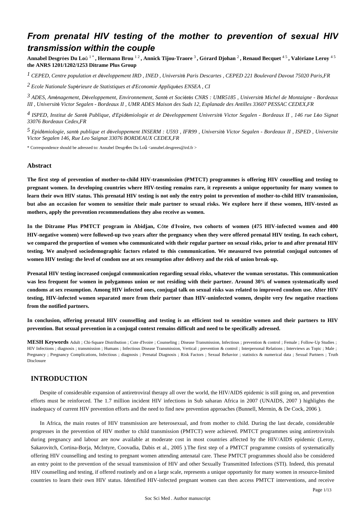## *From prenatal HIV testing of the mother to prevention of sexual HIV transmission within the couple*

**Annabel Desgr**é**es Du Lo**û 1 \* **, Hermann Brou** 1 2 **, Annick Tijou-Traore** <sup>3</sup> **, G**é**rard Djohan** <sup>2</sup> **, Renaud Becquet** 4 5 **, Val**é**riane Leroy** 4 5 **the ANRS 1201/1202/1253 Ditrame Plus Group**

<sup>1</sup> CEPED, Centre population et développement IRD, INED, Université Paris Descartes, CEPED 221 Boulevard Davout 75020 Paris,FR

*Ecole Nationale Sup rieure de Statistiques et d Economie Appliqu es 2* <sup>é</sup> ' <sup>é</sup> *ENSEA , CI*

*ADES, Am nagement, D veloppement, Environnement, Sant et Soci t s 3* <sup>é</sup> <sup>é</sup> <sup>é</sup> <sup>é</sup> <sup>é</sup> *CNRS : UMR5185 , Universit*é *Michel de Montaigne - Bordeaux III , Universit*é *Victor Segalen - Bordeaux II , UMR ADES Maison des Suds 12, Esplanade des Antilles 33607 PESSAC CEDEX,FR*

<sup>4</sup> ISPED, Institut de Santé Publique, d'Epidémiologie et de Développement Université Victor Segalen - Bordeaux II , 146 rue Léo Signat *33076 Bordeaux Cedex,FR*

*Epid miologie, sant publique et d veloppement 5* <sup>é</sup> <sup>é</sup> <sup>é</sup> *INSERM : U593 , IFR99 , Universit*é *Victor Segalen - Bordeaux II , ISPED , Universite Victor Segalen 146, Rue Leo Saignat 33076 BORDEAUX CEDEX,FR*

\* Correspondence should be adressed to: Annabel Desgrées Du Loû <annabel.desgrees@ird.fr >

#### **Abstract**

**The first step of prevention of mother-to-child HIV-transmission (PMTCT) programmes is offering HIV couselling and testing to pregnant women. In developing countries where HIV-testing remains rare, it represents a unique opportunity for many women to learn their own HIV status. This prenatal HIV testing is not only the entry point to prevention of mother-to-child HIV transmission, but also an occasion for women to sensitize their male partner to sexual risks. We explore here if these women, HIV-tested as mothers, apply the prevention recommendations they also receive as women.**

**In the Ditrame Plus PMTCT program in Abidjan, C**ô**te d**'**Ivoire, two cohorts of women (475 HIV-infected women and 400 HIV-negative women) were followed-up two years after the pregnancy when they were offered prenatal HIV testing. In each cohort, we compared the proportion of women who communicated with their regular partner on sexual risks, prior to and after prenatal HIV testing. We analysed sociodemographic factors related to this communication. We measured two potential conjugal outcomes of women HIV testing: the level of condom use at sex resumption after delivery and the risk of union break-up.**

**Prenatal HIV testing increased conjugal communication regarding sexual risks, whatever the woman serostatus. This communication was less frequent for women in polygamous union or not residing with their partner. Around 30**% **of women systematically used condoms at sex resumption. Among HIV infected ones, conjugal talk on sexual risks was related to improved condom use. After HIV testing, HIV-infected women separated more from their partner than HIV-uninfected women, despite very few negative reactions from the notified partners.**

**In conclusion, offering prenatal HIV counselling and testing is an efficient tool to sensitize women and their partners to HIV prevention. But sexual prevention in a conjugal context remains difficult and need to be specifically adressed.**

**MESH Keywords** Adult ; Chi-Square Distribution ; Cote d'Ivoire ; Counseling ; Disease Transmission, Infectious ; prevention & control ; Female ; Follow-Up Studies ; HIV Infections ; diagnosis ; transmission ; Humans ; Infectious Disease Transmission, Vertical ; prevention & control ; Interpersonal Relations ; Interviews as Topic ; Male ; Pregnancy ; Pregnancy Complications, Infectious ; diagnosis ; Prenatal Diagnosis ; Risk Factors ; Sexual Behavior ; statistics & numerical data ; Sexual Partners ; Truth Disclosure

## **INTRODUCTION**

Despite of considerable expansion of antiretroviral therapy all over the world, the HIV/AIDS epidemic is still going on, and prevention efforts must be reinforced. The 1.7 million incident HIV infections in Sub saharan Africa in 2007 (UNAIDS, 2007 ) highlights the inadequacy of current HIV prevention efforts and the need to find new prevention approaches (Bunnell, Mermin, & De Cock, 2006 ).

In Africa, the main routes of HIV transmission are heterosexual, and from mother to child. During the last decade, considerable progresses in the prevention of HIV mother to child transmission (PMTCT) were achieved. PMTCT programmes using antiretrovirals during pregnancy and labour are now available at moderate cost in most countries affected by the HIV/AIDS epidemic (Leroy, Sakarovitch, Cortina-Borja, McIntyre, Coovadia, Dabis et al., 2005 ).The first step of a PMTCT programme consists of systematically offering HIV counselling and testing to pregnant women attending antenatal care. These PMTCT programmes should also be considered an entry point to the prevention of the sexual transmission of HIV and other Sexually Transmitted Infections (STI). Indeed, this prenatal HIV counselling and testing, if offered routinely and on a large scale, represents a unique opportunity for many women in resource-limited countries to learn their own HIV status. Identified HIV-infected pregnant women can then access PMTCT interventions, and receive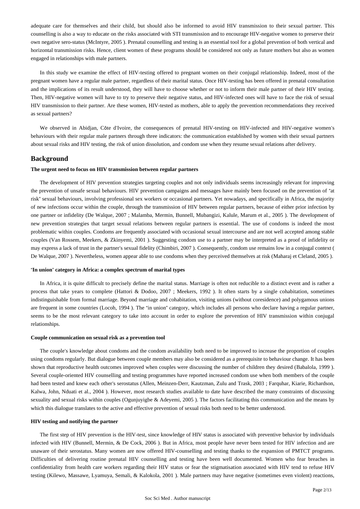adequate care for themselves and their child, but should also be informed to avoid HIV transmission to their sexual partner. This counselling is also a way to educate on the risks associated with STI transmission and to encourage HIV-negative women to preserve their own negative sero-status (McIntyre, 2005 ). Prenatal counselling and testing is an essential tool for a global prevention of both vertical and horizontal transmission risks. Hence, client women of these programs should be considered not only as future mothers but also as women engaged in relationships with male partners.

In this study we examine the effect of HIV-testing offered to pregnant women on their conjugal relationship. Indeed, most of the pregnant women have a regular male partner, regardless of their marital status. Once HIV-testing has been offered in prenatal consultation and the implications of its result understood, they will have to choose whether or not to inform their male partner of their HIV testing. Then, HIV-negative women will have to try to preserve their negative status, and HIV-infected ones will have to face the risk of sexual HIV transmission to their partner. Are these women, HIV-tested as mothers, able to apply the prevention recommendations they received as sexual partners?

We observed in Abidjan, Côte d'Ivoire, the consequences of prenatal HIV-testing on HIV-infected and HIV-negative women's behaviours with their regular male partners through three indicators: the communication established by women with their sexual partners about sexual risks and HIV testing, the risk of union dissolution, and condom use when they resume sexual relations after delivery.

## **Background**

### **The urgent need to focus on HIV transmission between regular partners**

The development of HIV prevention strategies targeting couples and not only individuals seems increasingly relevant for improving the prevention of unsafe sexual behaviours. HIV prevention campaigns and messages have mainly been focused on the prevention of "at risk" sexual behaviours, involving professional sex workers or occasional partners. Yet nowadays, and specifically in Africa, the majority of new infections occur within the couple, through the transmission of HIV between regular partners, because of either prior infection by one partner or infidelity (De Walque, 2007 ; Malamba, Mermin, Bunnell, Mubangizi, Kalule, Marum et al., 2005 ). The development of new prevention strategies that target sexual relations between regular partners is essential. The use of condoms is indeed the most problematic within couples. Condoms are frequently associated with occasional sexual intercourse and are not well accepted among stable couples (Van Rossem, Meekers, & Zkinyemi, 2001 ). Suggesting condom use to a partner may be interpreted as a proof of infidelity or may express a lack of trust in the partner's sexual fidelity (Chimbiri, 2007 ). Consequently, condom use remains low in a conjugal context ( De Walque, 2007 ). Nevertheless, women appear able to use condoms when they perceived themselves at risk (Maharaj et Cleland, 2005 ).

### "**In union**" **category in Africa: a complex spectrum of marital types**

In Africa, it is quite difficult to precisely define the marital status. Marriage is often not reducible to a distinct event and is rather a process that take years to complete (Hattori & Dodoo, 2007 ; Meekers, 1992 ). It often starts by a single cohabitation, sometimes indistinguishable from formal marriage. Beyond marriage and cohabitation, visiting unions (without coresidence) and polygamous unions are frequent in some countries (Locoh, 1994 ). The "in union" category, which includes all persons who declare having a regular partner, seems to be the most relevant category to take into account in order to explore the prevention of HIV transmission within conjugal relationships.

#### **Couple communication on sexual risk as a prevention tool**

The couple's knowledge about condoms and the condom availability both need to be improved to increase the proportion of couples using condoms regularly. But dialogue between couple members may also be considered as a prerequisite to behaviour change. It has been shown that reproductive health outcomes improved when couples were discussing the number of children they desired (Babalola, 1999 ). Several couple-oriented HIV counselling and testing programmes have reported increased condom use when both members of the couple had been tested and knew each other's serostatus (Allen, Meinzen-Derr, Kautzman, Zulu and Trask, 2003 ; Farquhar, Kiarie, Richardson, Kalwa, John, Nduati et al., 2004 ). However, most research studies available to date have described the many constraints of discussing sexuality and sexual risks within couples (Ogunjuyigbe & Adeyemi, 2005 ). The factors facilitating this communication and the means by which this dialogue translates to the active and effective prevention of sexual risks both need to be better understood.

#### **HIV testing and notifying the partner**

The first step of HIV prevention is the HIV-test, since knowledge of HIV status is associated with preventive behavior by individuals infected with HIV (Bunnell, Mermin, & De Cock, 2006 ). But in Africa, most people have never been tested for HIV infection and are unaware of their serostatus. Many women are now offered HIV-counselling and testing thanks to the expansion of PMTCT programs. Difficulties of delivering routine prenatal HIV counselling and testing have been well documented. Women who fear breaches in confidentiality from health care workers regarding their HIV status or fear the stigmatisation associated with HIV tend to refuse HIV testing (Kilewo, Massawe, Lyamuya, Semali, & Kalokola, 2001 ). Male partners may have negative (sometimes even violent) reactions,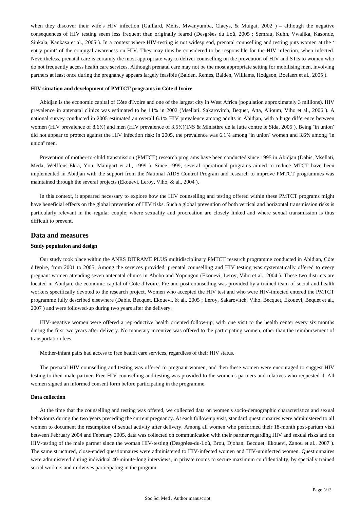when they discover their wife's HIV infection (Gaillard, Melis, Mwanyumba, Claeys, & Muigai, 2002) - although the negative consequences of HIV testing seem less frequent than originally feared (Desgrées du Loû, 2005 ; Semrau, Kuhn, Vwalika, Kasonde, Sinkala, Kankasa et al., 2005 ). In a context where HIV-testing is not widespread, prenatal counselling and testing puts women at the " entry point" of the conjugal awareness on HIV. They may thus be considered to be responsible for the HIV infection, when infected. Nevertheless, prenatal care is certainly the most appropriate way to deliver counselling on the prevention of HIV and STIs to women who do not frequently access health care services. Although prenatal care may not be the most appropriate setting for mobilising men, involving partners at least once during the pregnancy appears largely feasible (Baiden, Remes, Baiden, Williams, Hodgson, Boelaert et al., 2005 ).

#### **HIV situation and development of PMTCT programs in C**ô**te d**'**Ivoire**

Abidjan is the economic capital of Côte d'Ivoire and one of the largest city in West Africa (population approximately 3 millions). HIV prevalence in antenatal clinics was estimated to be 11% in 2002 (Msellati, Sakarovitch, Bequet, Atta, Alioum, Viho et al., 2006 ). A national survey conducted in 2005 estimated an overall 6.1% HIV prevalence among adults in Abidjan, with a huge difference between women (HIV prevalence of 8.6%) and men (HIV prevalence of 3.5%)(INS & Ministère de la lutte contre le Sida, 2005). Being "in union" did not appear to protect against the HIV infection risk: in 2005, the prevalence was 6.1% among "in union" women and 3.6% among "in union" men.

Prevention of mother-to-child transmission (PMTCT) research programs have been conducted since 1995 in Abidjan (Dabis, Msellati, Meda, Welffens-Ekra, You, Manigart et al., 1999 ). Since 1999, several operational programs aimed to reduce MTCT have been implemented in Abidjan with the support from the National AIDS Control Program and research to improve PMTCT programmes was maintained through the several projects (Ekouevi, Leroy, Viho, & al., 2004 ).

In this context, it appeared necessary to explore how the HIV counselling and testing offered within these PMTCT programs might have beneficial effects on the global prevention of HIV risks. Such a global prevention of both vertical and horizontal transmission risks is particularly relevant in the regular couple, where sexuality and procreation are closely linked and where sexual transmission is thus difficult to prevent.

## **Data and measures**

#### **Study population and design**

Our study took place within the ANRS DITRAME PLUS multidisciplinary PMTCT research programme conducted in Abidjan, Côte d'Ivoire, from 2001 to 2005. Among the services provided, prenatal counselling and HIV testing was systematically offered to every pregnant women attending seven antenatal clinics in Abobo and Yopougon (Ekouevi, Leroy, Viho et al., 2004 ). These two districts are located in Abidjan, the economic capital of Côte d'Ivoire. Pre and post counselling was provided by a trained team of social and health workers specifically devoted to the research project. Women who accepted the HIV test and who were HIV-infected entered the PMTCT programme fully described elsewhere (Dabis, Becquet, Ekouevi, & al., 2005 ; Leroy, Sakarovitch, Viho, Becquet, Ekouevi, Bequet et al., 2007 ) and were followed-up during two years after the delivery.

HIV-negative women were offered a reproductive health oriented follow-up, with one visit to the health center every six months during the first two years after delivery. No monetary incentive was offered to the participating women, other than the reimbursement of transportation fees.

Mother-infant pairs had access to free health care services, regardless of their HIV status.

The prenatal HIV counselling and testing was offered to pregnant women, and then these women were encouraged to suggest HIV testing to their male partner. Free HIV counselling and testing was provided to the women's partners and relatives who requested it. All women signed an informed consent form before participating in the programme.

#### **Data collection**

At the time that the counselling and testing was offered, we collected data on women's socio-demographic characteristics and sexual behaviours during the two years preceding the current pregnancy. At each follow-up visit, standard questionnaires were administered to all women to document the resumption of sexual activity after delivery. Among all women who performed their 18-month post-partum visit between February 2004 and February 2005, data was collected on communication with their partner regarding HIV and sexual risks and on HIV-testing of the male partner since the woman HIV-testing (Desgrées-du-Loû, Brou, Djohan, Becquet, Ekouevi, Zanou et al., 2007 ). The same structured, close-ended questionnaires were administered to HIV-infected women and HIV-uninfected women. Questionnaires were administered during individual 40-minute-long interviews, in private rooms to secure maximum confidentiality, by specially trained social workers and midwives participating in the program.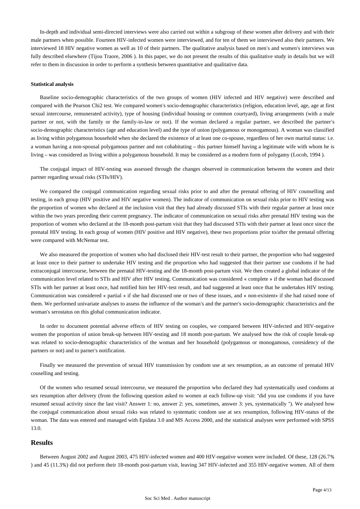In-depth and individual semi-directed interviews were also carried out within a subgroup of these women after delivery and with their male partners when possible. Fourteen HIV-infected women were interviewed, and for ten of them we interviewed also their partners. We interviewed 18 HIV negative women as well as 10 of their partners. The qualitative analysis based on men's and women's interviews was fully described elsewhere (Tijou Traore, 2006 ). In this paper, we do not present the results of this qualitative study in details but we will refer to them in discussion in order to perform a synthesis between quantitative and qualitative data.

#### **Statistical analysis**

Baseline socio-demographic characteristics of the two groups of women (HIV infected and HIV negative) were described and compared with the Pearson Chi2 test. We compared women's socio-demographic characteristics (religion, education level, age, age at first sexual intercourse, remunerated activity), type of housing (individual housing or common courtyard), living arrangements (with a male partner or not, with the family or the family-in-law or not). If the woman declared a regular partner, we described the partner's socio-demographic characteristics (age and education level) and the type of union (polygamous or monogamous). A woman was classified as living within polygamous household when she declared the existence of at least one co-spouse, regardless of her own marital status: i.e. a woman having a non-spousal polygamous partner and not cohabitating – this partner himself having a legitimate wife with whom he is living – was considered as living within a polygamous household. It may be considered as a modern form of polygamy (Locoh, 1994 ).

The conjugal impact of HIV-testing was assessed through the changes observed in communication between the women and their partner regarding sexual risks (STIs/HIV).

We compared the conjugal communication regarding sexual risks prior to and after the prenatal offering of HIV counselling and testing, in each group (HIV positive and HIV negative women). The indicator of communication on sexual risks prior to HIV testing was the proportion of women who declared at the inclusion visit that they had already discussed STIs with their regular partner at least once within the two years preceding their current pregnancy. The indicator of communication on sexual risks after prenatal HIV testing was the proportion of women who declared at the 18-month post-partum visit that they had discussed STIs with their partner at least once since the prenatal HIV testing. In each group of women (HIV positive and HIV negative), these two proportions prior to/after the prenatal offering were compared with McNemar test.

We also measured the proportion of women who had disclosed their HIV-test result to their partner, the proportion who had suggested at least once to their partner to undertake HIV testing and the proportion who had suggested that their partner use condoms if he had extraconjugal intercourse, between the prenatal HIV-testing and the 18-month post-partum visit. We then created a global indicator of the communication level related to STIs and HIV after HIV testing. Communication was considered « complete » if the woman had discussed STIs with her partner at least once, had notified him her HIV-test result, and had suggested at least once that he undertakes HIV testing. Communication was considered « partial » if she had discussed one or two of these issues, and « non-existent» if she had raised none of them. We performed univariate analyses to assess the influence of the woman's and the partner's socio-demographic characteristics and the woman's serostatus on this global communication indicator.

In order to document potential adverse effects of HIV testing on couples, we compared between HIV-infected and HIV-negative women the proportion of union break-up between HIV-testing and 18 month post-partum. We analysed how the risk of couple break-up was related to socio-demographic characteristics of the woman and her household (polygamous or monogamous, coresidency of the partners or not) and to parner's notification.

Finally we measured the prevention of sexual HIV transmission by condom use at sex resumption, as an outcome of prenatal HIV couselling and testing.

Of the women who resumed sexual intercourse, we measured the proportion who declared they had systematically used condoms at sex resumption after delivery (from the following question asked to women at each follow-up visit: "did you use condoms if you have resumed sexual activity since the last visit? Answer 1: no, answer 2: yes, sometimes, answer 3: yes, systematically "). We analysed how the conjugal communication about sexual risks was related to systematic condom use at sex resumption, following HIV-status of the woman. The data was entered and managed with Epidata 3.0 and MS Access 2000, and the statistical analyses were performed with SPSS 13.0.

## **Results**

Between August 2002 and August 2003, 475 HIV-infected women and 400 HIV-negative women were included. Of these, 128 (26.7% ) and 45 (11.3%) did not perform their 18-month post-partum visit, leaving 347 HIV-infected and 355 HIV-negative women. All of them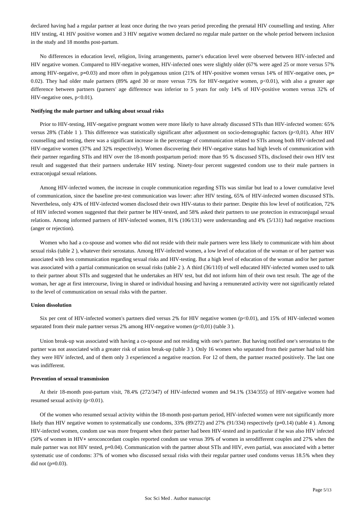declared having had a regular partner at least once during the two years period preceding the prenatal HIV counselling and testing. After HIV testing, 41 HIV positive women and 3 HIV negative women declared no regular male partner on the whole period between inclusion in the study and 18 months post-partum.

No differences in education level, religion, living arrangements, parner's education level were observed between HIV-infected and HIV negative women. Compared to HIV-negative women, HIV-infected ones were slightly older (67% were aged 25 or more versus 57% among HIV-negative, p=0.03) and more often in polygamous union (21% of HIV-positive women versus 14% of HIV-negative ones, p= 0.02). They had older male partners (89% aged 30 or more versus 73% for HIV-negative women, p<0.01), with also a greater age difference between partners (parners' age difference was inferior to 5 years for only 14% of HIV-positive women versus 32% of HIV-negative ones, p<0.01).

#### **Notifying the male partner and talking about sexual risks**

Prior to HIV-testing, HIV-negative pregnant women were more likely to have already discussed STIs than HIV-infected women: 65% versus 28% (Table 1 ). This difference was statistically significant after adjustment on socio-demographic factors (p<0,01). After HIV counselling and testing, there was a significant increase in the percentage of communication related to STIs among both HIV-infected and HIV-negative women (37% and 32% respectively). Women discovering their HIV-negative status had high levels of communication with their partner regarding STIs and HIV over the 18-month postpartum period: more than 95 % discussed STIs, disclosed their own HIV test result and suggested that their partners undertake HIV testing. Ninety-four percent suggested condom use to their male partners in extraconjugal sexual relations.

Among HIV-infected women, the increase in couple communication regarding STIs was similar but lead to a lower cumulative level of communication, since the baseline pre-test communication was lower: after HIV testing, 65% of HIV-infected women discussed STIs. Nevertheless, only 43% of HIV-infected women disclosed their own HIV-status to their partner. Despite this low level of notification, 72% of HIV infected women suggested that their partner be HIV-tested, and 58% asked their partners to use protection in extraconjugal sexual relations. Among informed partners of HIV-infected women, 81% (106/131) were understanding and 4% (5/131) had negative reactions (anger or rejection).

Women who had a co-spouse and women who did not reside with their male partners were less likely to communicate with him about sexual risks (table 2 ), whatever their serostatus. Among HIV-infected women, a low level of education of the woman or of her partner was associated with less communication regarding sexual risks and HIV-testing. But a high level of education of the woman and/or her partner was associated with a partial communication on sexual risks (table 2 ). A third (36/110) of well educated HIV-infected women used to talk to their partner about STIs and suggested that he undertakes an HIV test, but did not inform him of their own test result. The age of the woman, her age at first intercourse, living in shared or individual housing and having a remunerated activity were not significantly related to the level of communication on sexual risks with the partner.

#### **Union dissolution**

Six per cent of HIV-infected women's partners died versus 2% for HIV negative women (p<0.01), and 15% of HIV-infected women separated from their male partner versus 2% among HIV-negative women (p<0,01) (table 3).

Union break-up was associated with having a co-spouse and not residing with one's partner. But having notified one's serostatus to the partner was not associated with a greater risk of union break-up (table 3 ). Only 16 women who separated from their partner had told him they were HIV infected, and of them only 3 experienced a negative reaction. For 12 of them, the partner reacted positively. The last one was indifferent.

#### **Prevention of sexual transmission**

At their 18-month post-partum visit, 78.4% (272/347) of HIV-infected women and 94.1% (334/355) of HIV-negative women had resumed sexual activity (p<0.01).

Of the women who resumed sexual activity within the 18-month post-partum period, HIV-infected women were not significantly more likely than HIV negative women to systematically use condoms, 33% (89/272) and 27% (91/334) respectively (p=0.14) (table 4). Among HIV-infected women, condom use was more frequent when their partner had been HIV-tested and in particular if he was also HIV infected (50% of women in HIV+ seroconcordant couples reported condom use versus 39% of women in serodifferent couples and 27% when the male partner was not HIV tested, p=0.04). Communication with the partner about STIs and HIV, even partial, was associated with a better systematic use of condoms: 37% of women who discussed sexual risks with their regular partner used condoms versus 18.5% when they did not (p=0.03).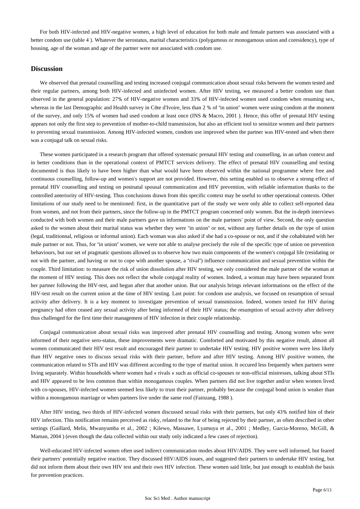For both HIV-infected and HIV-negative women, a high level of education for both male and female partners was associated with a better condom use (table 4 ). Whatever the serostatus, marital characteristics (polygamous or monogamous union and coresidency), type of housing, age of the woman and age of the partner were not associated with condom use.

## **Discussion**

We observed that prenatal counselling and testing increased conjugal communication about sexual risks between the women tested and their regular partners, among both HIV-infected and uninfected women. After HIV testing, we measured a better condom use than observed in the general population: 27% of HIV-negative women and 33% of HIV-infected women used condom when resuming sex, whereas in the last Demographic and Health survey in Côte d'Ivoire, less than 2 % of "in union" women were using condom at the moment of the survey, and only 15% of women had used condom at least once (INS & Macro, 2001 ). Hence, this offer of prenatal HIV testing appears not only the first step to prevention of mother-to-child transmission, but also an efficient tool to sensitize women and their partners to preventing sexual transmission. Among HIV-infected women, condom use improved when the partner was HIV-tested and when there was a conjugal talk on sexual risks.

These women participated in a research program that offered systematic prenatal HIV testing and counselling, in an urban context and in better conditions than in the operational context of PMTCT services delivery. The effect of prenatal HIV counselling and testing documented is thus likely to have been higher than what would have been observed within the national programme where free and continuous counselling, follow-up and women's support are not provided. However, this setting enabled us to observe a strong effect of prenatal HIV counselling and testing on postnatal spousal communication and HIV prevention, with reliable information thanks to the controlled anteriority of HIV-testing. Thus conclusions drawn from this specific context may be useful to other operational contexts. Other limitations of our study need to be mentioned: first, in the quantitative part of the study we were only able to collect self-reported data from women, and not from their partners, since the follow-up in the PMTCT program concerned only women. But the in-depth interviews conducted with both women and their male partners gave us informations on the male partners' point of view. Second, the only question asked to the women about their marital status was whether they were "in union" or not, without any further details on the type of union (legal, traditionnal, religious or informal union). Each woman was also asked if she had a co-spouse or not, and if she cohabitated with her male partner or not. Thus, for "in union" women, we were not able to analyse precisely the role of the specific type of union on prevention behaviours, but our set of pragmatic questions allowed us to observe how two main components of the women's conjugal life (residating or not with the partner, and having or not to cope with another spouse, a "rival") influence communication and sexual prevention within the couple. Third limitation: to measure the risk of union dissolution after HIV testing, we only considered the male partner of the woman at the moment of HIV testing. This does not reflect the whole conjugal reality of women. Indeed, a woman may have been separated from her partner following the HIV-test, and begun after that another union. But our analysis brings relevant informations on the effect of the HIV-test result on the current union at the time of HIV testing. Last point: for condom use analysis, we focused on resumption of sexual activity after delivery. It is a key moment to investigate prevention of sexual transmission. Indeed, women tested for HIV during pregnancy had often ceased any sexual activity after being informed of their HIV status; the resumption of sexual activity after delivery thus challenged for the first time their management of HIV infection in their couple relationship.

Conjugal communication about sexual risks was improved after prenatal HIV counselling and testing. Among women who were informed of their negative sero-status, these improvements were dramatic. Comforted and motivated by this negative result, almost all women communicated their HIV test result and encouraged their partner to undertake HIV testing. HIV positive women were less likely than HIV negative ones to discuss sexual risks with their partner, before and after HIV testing. Among HIV positive women, the communication related to STIs and HIV was different according to the type of marital union. It occured less frequently when partners were living separately. Within households where women had « rivals » such as official co-spouses or non-official mistresses, talking about STIs and HIV appeared to be less common than within monogamous couples. When partners did not live together and/or when women lived with co-spouses, HIV-infected women seemed less likely to trust their partner, probably because the conjugal bond union is weaker than within a monogamous marriage or when partners live under the same roof (Fainzang, 1988 ).

After HIV testing, two thirds of HIV-infected women discussed sexual risks with their partners, but only 43% notified him of their HIV infection. This notification remains perceived as risky, related to the fear of being rejected by their partner, as often described in other settings (Gaillard, Melis, Mwanyumba et al., 2002 ; Kilewo, Massawe, Lyamuya et al., 2001 ; Medley, Garcia-Moreno, McGill, & Maman, 2004 ) (even though the data collected within our study only indicated a few cases of rejection).

Well-educated HIV-infected women often used indirect communication modes about HIV/AIDS. They were well informed, but feared their partners' potentially negative reaction. They discussed HIV/AIDS issues, and suggested their partners to undertake HIV testing, but did not inform them about their own HIV test and their own HIV infection. These women said little, but just enough to establish the basis for prevention practices.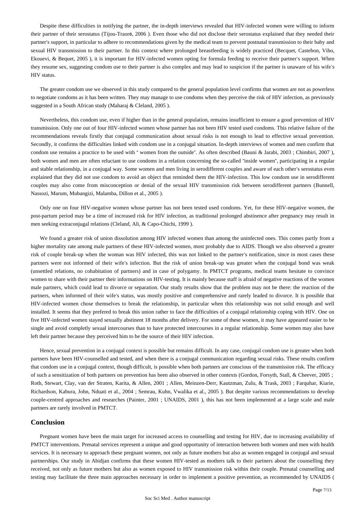Despite these difficulties in notifying the partner, the in-depth interviews revealed that HIV-infected women were willing to inform their partner of their serostatus (Tijou-Traoré, 2006 ). Even those who did not disclose their serostatus explained that they needed their partner's support, in particular to adhere to recommendations given by the medical team to prevent postnatal transmission to their baby and sexual HIV transmission to their partner. In this context where prolonged breastfeeding is widely practiced (Becquet, Castebon, Viho, Ekouevi, & Bequet, 2005 ), it is important for HIV-infected women opting for formula feeding to receive their partner's support. When they resume sex, suggesting condom use to their partner is also complex and may lead to suspicion if the partner is unaware of his wife's HIV status.

The greater condom use we observed in this study compared to the general population level confirms that women are not as powerless to negotiate condoms as it has been written. They may manage to use condoms when they perceive the risk of HIV infection, as previously suggested in a South African study (Maharaj & Cleland, 2005 ).

Nevertheless, this condom use, even if higher than in the general population, remains insufficient to ensure a good prevention of HIV transmission. Only one out of four HIV-infected women whose partner has not been HIV tested used condoms. This relative failure of the recommendations reveals firstly that conjugal communication about sexual risks is not enough to lead to effective sexual prevention. Secondly, it confirms the difficulties linked with condom use in a conjugal situation. In-depth interviews of women and men confirm that condom use remains a practice to be used with " women from the outside". As often described (Bauni & Jarabi, 2003 ; Chimbiri, 2007 ), both women and men are often reluctant to use condoms in a relation concerning the so-called "inside women", participating in a regular and stable relationship, in a conjugal way. Some women and men living in serodifferent couples and aware of each other's serostatus even explained that they did not use condom to avoid an object that reminded them the HIV-infection. This low condom use in serodifferent couples may also come from misconception or denial of the sexual HIV transmission risk between serodifferent partners (Bunnell, Nassozi, Marum, Mubangizi, Malamba, Dillon et al., 2005 ).

Only one on four HIV-negative women whose partner has not been tested used condoms. Yet, for these HIV-negative women, the post-partum period may be a time of increased risk for HIV infection, as traditional prolonged abstinence after pregnancy may result in men seeking extraconjugal relations (Cleland, Ali, & Capo-Chichi, 1999 ).

We found a greater risk of union dissolution among HIV infected women than among the uninfected ones. This comes partly from a higher mortality rate among male partners of these HIV-infected women, most probably due to AIDS. Though we also observed a greater risk of couple break-up when the woman was HIV infected, this was not linked to the partner's notification, since in most cases these partners were not informed of their wife's infection. But the risk of union break-up was greater when the conjugal bond was weak (unsettled relations, no cohabitation of partners) and in case of polygamy. In PMTCT programs, medical teams hesitate to convince women to share with their partner their informations on HIV-testing. It is mainly because staff is afraid of negative reactions of the women male partners, which could lead to divorce or separation. Our study results show that the problem may not be there: the reaction of the partners, when informed of their wife's status, was mostly positive and comprehensive and rarely leaded to divorce. It is possible that HIV-infected women chose themselves to break the relationship, in particular when this relationship was not solid enough and well installed. It seems that they prefered to break this union rather to face the difficulties of a conjugal relationship coping with HIV. One on five HIV-infected women stayed sexually abstinent 18 months after delivery. For some of these women, it may have appeared easier to be single and avoid completly sexual intercourses than to have protected intercourses in a regular relationship. Some women may also have left their partner because they perceived him to be the source of their HIV infection.

Hence, sexual prevention in a conjugal context is possible but remains difficult. In any case, conjugal condom use is greater when both partners have been HIV-counselled and tested, and when there is a conjugal communication regarding sexual risks. These results confirm that condom use in a conjugal context, though difficult, is possible when both partners are conscious of the transmission risk. The efficacy of such a sensitization of both partners on prevention has been also observed in other contexts (Gordon, Forsyth, Stall, & Cheever, 2005 ; Roth, Stewart, Clay, van der Straten, Karita, & Allen, 2001 ; Allen, Meinzen-Derr, Kautzman, Zulu, & Trask, 2003 ; Farquhar, Kiarie, Richardson, Kabura, John, Nduati et al., 2004 ; Semrau, Kuhn, Vwalika et al., 2005 ). But despite various recommendations to develop couple-centred approaches and researches (Painter, 2001 ; UNAIDS, 2001 ), this has not been implemented at a large scale and male partners are rarely involved in PMTCT.

## **Conclusion**

Pregnant women have been the main target for increased access to counselling and testing for HIV, due to increasing availability of PMTCT interventions. Prenatal services represent a unique and good opportunity of interaction between both women and men with health services. It is necessary to approach these pregnant women, not only as future mothers but also as women engaged in conjugal and sexual partnerships. Our study in Abidjan confirms that these women HIV-tested as mothers talk to their partners about the counselling they received, not only as future mothers but also as women exposed to HIV transmission risk within their couple. Prenatal counselling and testing may facilitate the three main approaches necessary in order to implement a positive prevention, as recommended by UNAIDS (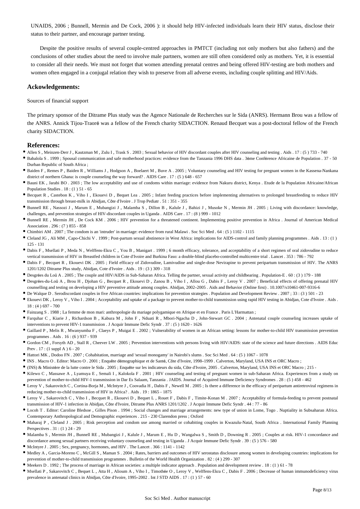UNAIDS, 2006 ; Bunnell, Mermin and De Cock, 2006 ): it should help HIV-infected individuals learn their HIV status, disclose their status to their partner, and encourage partner testing.

Despite the positive results of several couple-centred approaches in PMTCT (including not only mothers but also fathers) and the conclusions of other studies about the need to involve male partners, women are still often considered only as mothers. Yet, it is essential to consider all their needs. We must not forget that women attending prenatal centres and being offered HIV-testing are both mothers and women often engaged in a conjugal relation they wish to preserve from all adverse events, including couple splitting and HIV/Aids.

## **Ackowledgements:**

#### Sources of financial support

The primary sponsor of the Ditrame Plus study was the Agence Nationale de Recherches sur le Sida (ANRS). Hermann Brou was a fellow of the ANRS. Annick Tijou-Traoré was a fellow of the French charity SIDACTION. Renaud Becquet was a post-doctoral fellow of the French charity SIDACTION.

### **References:**

- Allen S, Meinzen-Derr J, Kautzman M, Zulu I, Trask S. 2003; Sexual behavior of HIV discordant couples after HIV counseling and testing . Aids . 17: (5) 733 740
- Babalola S . 1999 ; Spousal communication and safe motherhood practices: evidence from the Tanzania 1996 DHS data . 3ème Conférence Africaine de Population . 37 50 Durban Republic of South Africa ;
- Baiden F , Remes P , Baiden R , Williams J , Hodgson A , Boelaert M , Buve A . 2005 ; Voluntary counseling and HIV testing for pregnant women in the Kassena-Nankana district of northern Ghana: is couple counseling the way forward? . AIDS Care . 17 : (5) 648 - 657
- Bauni EK , Jarabi BO . 2003 ; The low acceptability and use of condoms within marriage: evidence from Nakuru district, Kenya . Etude de la Population Africaine/African Population Studies . 18 : (1 ) 51 - 65
- Becquet R , Castebon K , Viho I , Ekouevi D , Bequet Lea . 2005 ; Infant feeding practices before implementing alternatives to prolonged breastfeeding to reduce HIV transmission through breast-milk in Abidjan, Côte d'Ivoire . J Trop Pediatr . 51 : 351 - 355
- Bunnell RE , Nassozi J , Marum E , Mubangizi J , Malamba S , Dillon B , Kalule J , Bahizi J , Musoke N , Mermin JH . 2005 ; Living with discordance: knowledge, challenges, and prevention strategies of HIV-discordant couples in Uganda . AIDS Care . 17 : (8 ) 999 - 1012
- Bunnell RE , Mermin JH , De Cock KM . 2006 ; HIV prevention for a threatened continent. Implementing positive prevention in Africa . Journal of American Medical Association . 296 : (7 ) 855 - 858
- Chimbiri AM . 2007 ; The condom is an 'intruder' in marriage: evidence from rural Malawi . Soc Sci Med . 64 : (5 ) 1102 1115
- Cleland JG , Ali MM , Capo-Chichi V . 1999 ; Post-partum sexual abstinence in West Africa: implications for AIDS-control and family planning programmes . Aids . 13 : (1 ) 125 - 131
- Dabis F , Msellati P , Meda N , Welffens-Ekra C , You B , Manigart . 1999 ; 6 month efficacy, tolerance, and acceptability of a short regimen of oral zidovudine to reduce vertical transmission of HIV in Breastfed children in Cote d'Ivoire and Burkina Faso: a double-blind placebo-controlled multicentre trial . Lancet . 353 : 786 - 792
- Dabis F , Becquet R , Ekouevi DK . 2005 ; Field efficacy of Zidovudine, Lamivudine and single-dose Nevirapine to prevent peripartum transmission of HIV. The ANRS 1201/1202 Ditrame Plus study, Abidjan, Cote d'Ivoire . Aids . 19 : (3 ) 309 - 318
- Desgrées du Loû A . 2005 ; The couple and HIV/AIDS in Sub-Saharan Africa. Telling the partner, sexual activity and childbearing . Population-E . 60 : (3) 179 188
- Desgrées-du-Loû A , Brou H , Djohan G , Becquet R , Ekouevi D , Zanou B , Viho I , Allou G , Dabis F , Leroy V . 2007 ; Beneficial effects of offering prenatal HIV counselling and testing on developing a HIV preventive attitude among couples. Abidjan, 2002–2005 . Aids and Behavior (Online first) . 10.1007/s10461-007-9316-6
- De Walque D . Serodiscordant couples in five African countries: implications for prevention strategies . Population and Development Review . 2007 ; 33 : (3 ) 501 23
- Ekouevi DK , Leroy V , Viho I . 2004 ; Acceptability and uptake of a package to prevent mother-to-child transmission using rapid HIV testing in Abidjan, Cote d'Ivoire . Aids . 18 : (4 ) 697 - 700
- Fainzang S . 1988 ; La femme de mon mari: anthropologie du mariage polygamique en Afrique et en France . Paris L'Harmattan ;
- Farquhar C , Kiarie J , Richardson B , Kabura M , John F , Nduati R , Mbori-Ngacha D , John-Stewart GC . 2004 ; Antenatal couple counseling increases uptake of interventions to prevent HIV-1 transmission . J Acquir Immune Defic Syndr . 37 : (5 ) 1620 - 1626
- Gaillard P , Melis R , Mwanyumba F , Claeys P , Muigai E . 2002 ; Vulnerability of women in an African setting: lessons for mother-to-child HIV transmission prevention programmes . Aids . 16 : (6 ) 937 - 939
- Gordon CM , Forsyth AD , Stall R , Cheever LW . 2005 ; Prevention interventions with persons living with HIV/AIDS: state of the science and future directions . AIDS Educ Prev . 17 : (1 suppl A ) 6 - 20
- Hattori MK , Dodoo FN . 2007 ; Cohabitation, marriage and 'sexual monogamy' in Nairobi's slums . Soc Sci Med . 64 : (5 ) 1067 1078
- INS . Macro O . Editor: Macro O . 2001 ; Enquête démographique et de Santé, Côte d'Ivoire, 1998–1999 . Calverton, Maryland, USA INS et ORC Macro ;
- (INS) & Ministère de la lutte contre le Sida . 2005 ; Enquête sur les indicateurs du sida, Côte d'Ivoire, 2005 . Calverton, Maryland, USA INS et ORC Macro ; 215 -
- Kilewo C , Massawe A , Lyamuya E , Semali I , Kalokola F . 2001 ; HIV counseling and testing of pregnant women in sub-Saharan Africa. Experiences from a study on prevention of mother-to-child HIV-1 transmission in Dar Es Salaam, Tanzania . JAIDS. Journal of Acquired Immune Deficiency Syndromes . 28 : (5 ) 458 - 462
- Leroy V , Sakarovitch C , Cortina-Borja M , McIntyre J , Coovadia H , Dabis F , Newell M . 2005 ; Is there a difference in the efficacy of peripartum antiretroviral regimens in reducing mother-to-child transmission of HIV in Africa? . Aids . 19 : 1865 - 1875
- Leroy V , Sakarovitch C , Viho I , Becquet R , Ekouevi D , Bequet L , Rouet F , Dabis F , Timite-Konan M . 2007 ; Acceptability of formula-feeding to prevent postnatal transmission of HIV-1 infection in Abidjan, Côte d'Ivoire, Ditrame Plus ANRS 1201/1202 . J Acquir Immune Defic Syndr . 44 : 77 - 86
- Locoh T . Editor: Caroline Bledsoe , Gilles Pison . 1994 ; Social changes and marriage arrangements: new type of union in Lome, Togo . Nuptiality in Subsaharan Africa. Contemporary Anthropological and Demographic experiences . 215 - 230 Clarendon press ; Oxford
- Maharaj P , Cleland J . 2005 ; Risk perception and condom use among married or cohabiting couples in Kwazulu-Natal, South Africa . International Family Planning Perspectives . 31 : (1 ) 24 - 29
- Malamba S , Mermin JH , Bunnell RE , Mubangizi J , Kalule J , Marum E , Hu D , Wangalwa S , Smith D , Downing R . 2005 ; Couples at risk. HIV-1 concordance and discordance among sexual partners receiving voluntary counseling and testing in Uganda . J Acquir Immune Defic Syndr . 39 : (5 ) 576 - 580
- $\bullet\,$  McIntyre J . 2005 ; Sex, pregnancy, hormones, and HIV . The Lancet . 366 : 1141 1142
- Medley A , Garcia-Moreno C , McGill S , Maman S . 2004 ; Rates, barriers and outcomes of HIV serostatus disclosure among women in developing countries: implications for prevention of mother-to-child transmission programmes . Bulletin of the World Health Organization . 82 : (4 ) 299 - 307
- Meekers D . 1992 ; The process of marriage in African societies: a multiple indicator approach . Population and development review . 18 : (1 ) 61 78
- Msellati P , Sakarovitch C , Bequet L , Atta H , Alioum A , Viho I , Timothée O , Leroy V , Welffens-Ekra C , Dabis F . 2006 ; Decrease of human immunodeficiency virus prevalence in antenatal clinics in Abidjan, Côte d'Ivoire, 1995–2002 . Int J STD AIDS . 17 : (1 ) 57 - 60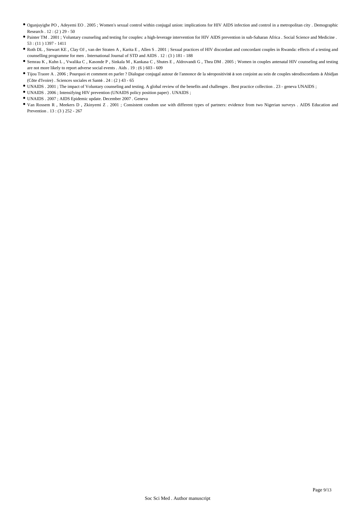- Ogunjuyigbe PO , Adeyemi EO . 2005 ; Women's sexual control within conjugal union: implications for HIV AIDS infection and control in a metropolitan city . Demographic Research . 12 : (2 ) 29 - 50
- Painter TM . 2001 ; Voluntary counseling and testing for couples: a high-leverage intervention for HIV AIDS prevention in sub-Saharan Africa . Social Science and Medicine . 53 : (11 ) 1397 - 1411
- Roth DL , Stewart KE , Clay OJ , van der Straten A , Karita E , Allen S . 2001 ; Sexual practices of HIV discordant and concordant couples in Rwanda: effects of a testing and counselling programme for men . International Journal of STD and AIDS . 12 : (3 ) 181 - 188
- Semrau K , Kuhn L , Vwalika C , Kasonde P , Sinkala M , Kankasa C , Shutes E , Aldrovandi G , Thea DM . 2005 ; Women in couples antenatal HIV counseling and testing are not more likely to report adverse social events . Aids . 19 : (6 ) 603 - 609
- Tijou Traore A . 2006 ; Pourquoi et comment en parler ? Dialogue conjugal autour de l'annonce de la séropositivité à son conjoint au sein de couples sérodiscordants à Abidjan (Côte d'Ivoire) . Sciences sociales et Santé . 24 : (2 ) 43 - 65
- UNAIDS . 2001 ; The impact of Voluntary counseling and testing. A global review of the benefits and challenges . Best practice collection . 23 geneva UNAIDS ;
- UNAIDS . 2006 ; Intensifying HIV prevention (UNAIDS policy position paper) . UNAIDS ;
- UNAIDS . 2007 ; AIDS Epidemic update. December 2007 . Geneva
- Van Rossem R , Meekers D , Zkinyemi Z . 2001 ; Consistent condom use with different types of partners: evidence from two Nigerian surveys . AIDS Education and Prevention . 13 : (3 ) 252 - 267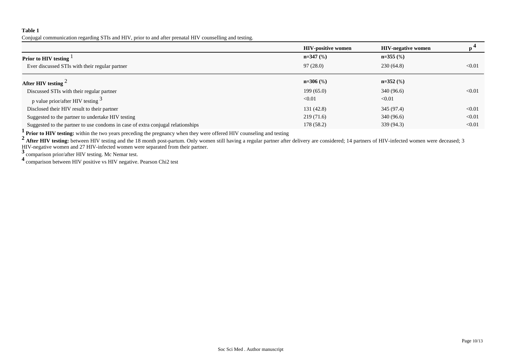Conjugal communication regarding STIs and HIV, prior to and after prenatal HIV counselling and testing.

|                                                                                 | <b>HIV-positive women</b> | <b>HIV-negative women</b> |        |
|---------------------------------------------------------------------------------|---------------------------|---------------------------|--------|
| Prior to HIV testing $1$                                                        | $n=347$ (%)               | $n=355$ (%)               |        |
| Ever discussed STIs with their regular partner                                  | 97(28.0)                  | 230(64.8)                 | < 0.01 |
| After HIV testing $^2$                                                          | $n=306$ (%)               | $n=352$ (%)               |        |
| Discussed STIs with their regular partner                                       | 199(65.0)                 | 340 (96.6)                | < 0.01 |
| p value prior/after HIV testing $3$                                             | < 0.01                    | < 0.01                    |        |
| Disclosed their HIV result to their partner                                     | 131(42.8)                 | 345 (97.4)                | < 0.01 |
| Suggested to the partner to undertake HIV testing                               | 219(71.6)                 | 340 (96.6)                | < 0.01 |
| Suggested to the partner to use condoms in case of extra conjugal relationships | 178 (58.2)                | 339 (94.3)                | < 0.01 |

**1** Prior to HIV testing: within the two years preceding the pregnancy when they were offered HIV counseling and testing

<sup>2</sup> After HIV testing: between HIV testing and the 18 month post-partum. Only women still having a regular partner after delivery are considered; 14 partners of HIV-infected women were deceased; 3 HIV-negative women and 27 HIV-infected women were separated from their partner.

**<sup>3</sup>**comparison prior/after HIV testing. Mc Nemar test.

**<sup>4</sup>**comparison between HIV positive vs HIV negative. Pearson Chi2 test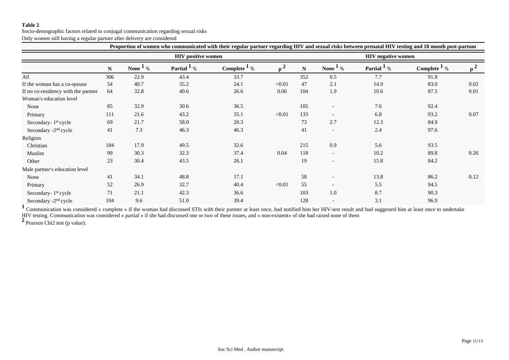Socio-demographic factors related to conjugal communication regarding sexual risks Only women still having a regular partner after delivery are considered

| Proportion of women who communicated with their regular partner regarding HIV and sexual risks between prenatal HIV testing and 18 month post-partum |     |                           |                         |                          |          |                           |                          |                        |                          |       |
|------------------------------------------------------------------------------------------------------------------------------------------------------|-----|---------------------------|-------------------------|--------------------------|----------|---------------------------|--------------------------|------------------------|--------------------------|-------|
|                                                                                                                                                      |     | <b>HIV</b> positive women |                         |                          |          | <b>HIV</b> negative women |                          |                        |                          |       |
|                                                                                                                                                      | N   | None $1\%$                | Partial $\frac{1}{2}$ % | Complete $\frac{1}{6}$ % | $p^2$    | N                         | None $\frac{1}{6}$ %     | Partial <sup>1</sup> % | Complete $\frac{1}{2}$ % | $p^2$ |
| All                                                                                                                                                  | 306 | 22.9                      | 43.4                    | 33.7                     |          | 352                       | 0.5                      | 7.7                    | 91.8                     |       |
| If the woman has a co-spouse                                                                                                                         | 54  | 40.7                      | 35.2                    | 24.1                     | < 0.01   | 47                        | 2.1                      | 14.9                   | 83.0                     | 0.02  |
| If no co-residency with the partner                                                                                                                  | 64  | 32.8                      | 40.6                    | 26.6                     | $0.06\,$ | 104                       | 1.9                      | 10.6                   | 87.5                     | 0.01  |
| Woman's education level                                                                                                                              |     |                           |                         |                          |          |                           |                          |                        |                          |       |
| None                                                                                                                                                 | 85  | 32.9                      | 30.6                    | 36.5                     |          | 105                       |                          | 7.6                    | 92.4                     |       |
| Primary                                                                                                                                              | 111 | 21.6                      | 43.2                    | 35.1                     | < 0.01   | 133                       |                          | 6.8                    | 93.2                     | 0.07  |
| Secondary-1st cycle                                                                                                                                  | 69  | 21.7                      | 58.0                    | 20.3                     |          | 73                        | 2.7                      | 12.3                   | 84.9                     |       |
| Secondary -2 <sup>nd</sup> cycle                                                                                                                     | 41  | 7.3                       | 46.3                    | 46.3                     |          | 41                        | $\overline{\phantom{a}}$ | 2.4                    | 97.6                     |       |
| Religion                                                                                                                                             |     |                           |                         |                          |          |                           |                          |                        |                          |       |
| Christian                                                                                                                                            | 184 | 17.9                      | 49.5                    | 32.6                     |          | 215                       | 0.9                      | 5.6                    | 93.5                     |       |
| Muslim                                                                                                                                               | 99  | 30.3                      | 32.3                    | 37.4                     | 0.04     | 118                       | $\overline{\phantom{a}}$ | 10.2                   | 89.8                     | 0.26  |
| Other                                                                                                                                                | 23  | 30.4                      | 43.5                    | 26.1                     |          | 19                        |                          | 15.8                   | 84.2                     |       |
| Male partner's education level                                                                                                                       |     |                           |                         |                          |          |                           |                          |                        |                          |       |
| None                                                                                                                                                 | 41  | 34.1                      | 48.8                    | 17.1                     |          | 58                        |                          | 13.8                   | 86.2                     | 0.12  |
| Primary                                                                                                                                              | 52  | 26.9                      | 32.7                    | 40.4                     | < 0.01   | 55                        | $\overline{\phantom{a}}$ | 5.5                    | 94.5                     |       |
| Secondary-1st cycle                                                                                                                                  | 71  | 21.1                      | 42.3                    | 36.6                     |          | 103                       | 1.0                      | 8.7                    | 90.3                     |       |
| Secondary -2 <sup>nd</sup> cycle                                                                                                                     | 104 | 9.6                       | 51.0                    | 39.4                     |          | 128                       | $\overline{\phantom{a}}$ | 3.1                    | 96.9                     |       |

<sup>1</sup> Communication was considered « complete » if the woman had discussed STIs with their partner at least once, had notified him her HIV-test result and had suggested him at least once to undertake HIV testing. Communication was considered « partial » if she had discussed one or two of these issues, and « non-existent» of she had raised none of them

<sup>2</sup> Pearson Chi<sub>2</sub> test (p value).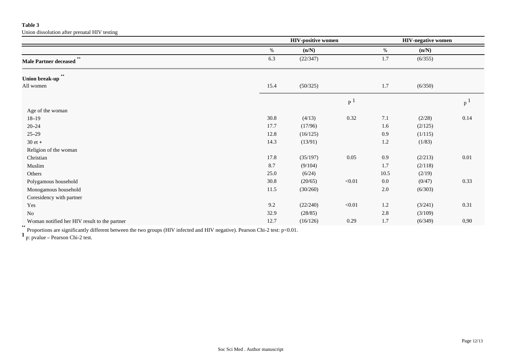Union dissolution after prenatal HIV testing

|                                              | <b>HIV-positive women</b> |          |                | <b>HIV-negative women</b> |         |                |
|----------------------------------------------|---------------------------|----------|----------------|---------------------------|---------|----------------|
|                                              | $\%$                      | (n/N)    |                | $\%$                      | (n/N)   |                |
| $**$<br>Male Partner deceased                | 6.3                       | (22/347) |                | 1.7                       | (6/355) |                |
| $^{\star\star}$<br>Union break-up            |                           |          |                |                           |         |                |
| All women                                    | 15.4                      | (50/325) |                | $1.7\,$                   | (6/350) |                |
|                                              |                           |          | P <sup>1</sup> |                           |         | p <sup>1</sup> |
| Age of the woman                             |                           |          |                |                           |         |                |
| $18 - 19$                                    | 30.8                      | (4/13)   | 0.32           | 7.1                       | (2/28)  | 0.14           |
| $20 - 24$                                    | 17.7                      | (17/96)  |                | 1.6                       | (2/125) |                |
| $25 - 29$                                    | 12.8                      | (16/125) |                | 0.9                       | (1/115) |                |
| $30$ et $+$                                  | 14.3                      | (13/91)  |                | $1.2\,$                   | (1/83)  |                |
| Religion of the woman                        |                           |          |                |                           |         |                |
| Christian                                    | 17.8                      | (35/197) | 0.05           | 0.9                       | (2/213) | 0.01           |
| Muslim                                       | 8.7                       | (9/104)  |                | 1.7                       | (2/118) |                |
| Others                                       | 25.0                      | (6/24)   |                | 10.5                      | (2/19)  |                |
| Polygamous household                         | 30.8                      | (20/65)  | < 0.01         | $0.0\,$                   | (0/47)  | 0.33           |
| Monogamous household                         | 11.5                      | (30/260) |                | 2.0                       | (6/303) |                |
| Coresidency with partner                     |                           |          |                |                           |         |                |
| Yes                                          | 9.2                       | (22/240) | < 0.01         | $1.2\,$                   | (3/241) | 0.31           |
| No                                           | 32.9                      | (28/85)  |                | 2.8                       | (3/109) |                |
| Woman notified her HIV result to the partner | 12.7                      | (16/126) | 0.29           | 1.7                       | (6/349) | 0,90           |

\*\*<br>Proportions are significantly different between the two groups (HIV infected and HIV negative). Pearson Chi-2 test: p<0.01.

**<sup>1</sup>**p: pvalue – Pearson Chi-2 test.